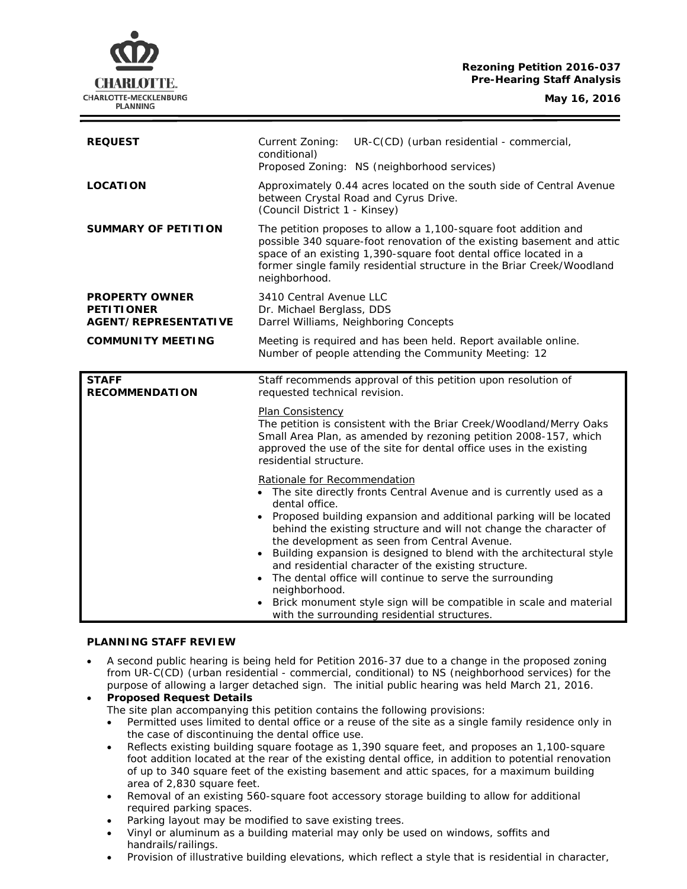# **Rezoning Petition 2016-037 Pre-Hearing Staff Analysis**

CHARLOTTE. CHARLOTTE-MECKLENBURG **PLANNING** 

**May 16, 2016**

| <b>REQUEST</b>                                                            | UR-C(CD) (urban residential - commercial,<br>Current Zoning:<br>conditional)<br>Proposed Zoning: NS (neighborhood services)                                                                                                                                                                               |
|---------------------------------------------------------------------------|-----------------------------------------------------------------------------------------------------------------------------------------------------------------------------------------------------------------------------------------------------------------------------------------------------------|
| <b>LOCATION</b>                                                           | Approximately 0.44 acres located on the south side of Central Avenue<br>between Crystal Road and Cyrus Drive.<br>(Council District 1 - Kinsey)                                                                                                                                                            |
| <b>SUMMARY OF PETITION</b>                                                | The petition proposes to allow a 1,100-square foot addition and<br>possible 340 square-foot renovation of the existing basement and attic<br>space of an existing 1,390-square foot dental office located in a<br>former single family residential structure in the Briar Creek/Woodland<br>neighborhood. |
| <b>PROPERTY OWNER</b><br><b>PETITIONER</b><br><b>AGENT/REPRESENTATIVE</b> | 3410 Central Avenue LLC<br>Dr. Michael Berglass, DDS<br>Darrel Williams, Neighboring Concepts                                                                                                                                                                                                             |
| <b>COMMUNITY MEETING</b>                                                  | Meeting is required and has been held. Report available online.<br>Number of people attending the Community Meeting: 12                                                                                                                                                                                   |
|                                                                           |                                                                                                                                                                                                                                                                                                           |
| <b>STAFF</b><br><b>RECOMMENDATION</b>                                     | Staff recommends approval of this petition upon resolution of<br>requested technical revision.                                                                                                                                                                                                            |
|                                                                           | Plan Consistency<br>The petition is consistent with the Briar Creek/Woodland/Merry Oaks<br>Small Area Plan, as amended by rezoning petition 2008-157, which<br>approved the use of the site for dental office uses in the existing<br>residential structure.                                              |

## **PLANNING STAFF REVIEW**

- A second public hearing is being held for Petition 2016-37 due to a change in the proposed zoning from UR-C(CD) (urban residential - commercial, conditional) to NS (neighborhood services) for the purpose of allowing a larger detached sign. The initial public hearing was held March 21, 2016.
- **Proposed Request Details** The site plan accompanying this petition contains the following provisions:
	- Permitted uses limited to dental office or a reuse of the site as a single family residence only in the case of discontinuing the dental office use.
	- Reflects existing building square footage as 1,390 square feet, and proposes an 1,100-square foot addition located at the rear of the existing dental office, in addition to potential renovation of up to 340 square feet of the existing basement and attic spaces, for a maximum building area of 2,830 square feet.
	- Removal of an existing 560-square foot accessory storage building to allow for additional required parking spaces.
	- Parking layout may be modified to save existing trees.
	- Vinyl or aluminum as a building material may only be used on windows, soffits and handrails/railings.
	- Provision of illustrative building elevations, which reflect a style that is residential in character,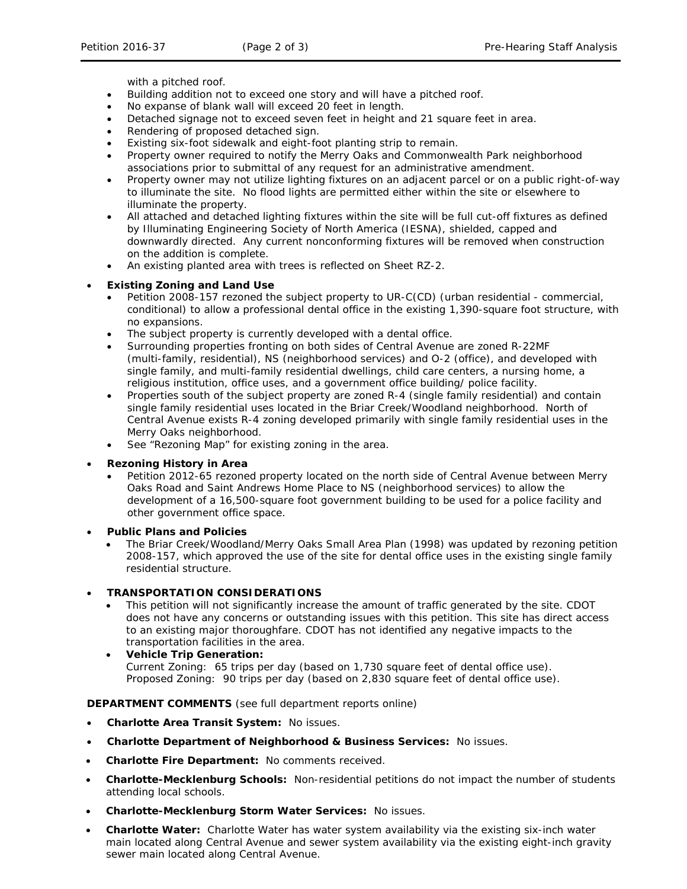with a pitched roof.

- Building addition not to exceed one story and will have a pitched roof.
- No expanse of blank wall will exceed 20 feet in length.
- Detached signage not to exceed seven feet in height and 21 square feet in area.
- Rendering of proposed detached sign.
- Existing six-foot sidewalk and eight-foot planting strip to remain.
- Property owner required to notify the Merry Oaks and Commonwealth Park neighborhood associations prior to submittal of any request for an administrative amendment.
- Property owner may not utilize lighting fixtures on an adjacent parcel or on a public right-of-way to illuminate the site. No flood lights are permitted either within the site or elsewhere to illuminate the property.
- All attached and detached lighting fixtures within the site will be full cut-off fixtures as defined by Illuminating Engineering Society of North America (IESNA), shielded, capped and downwardly directed. Any current nonconforming fixtures will be removed when construction on the addition is complete.
- An existing planted area with trees is reflected on Sheet RZ-2.

## • **Existing Zoning and Land Use**

- Petition 2008-157 rezoned the subject property to UR-C(CD) (urban residential commercial, conditional) to allow a professional dental office in the existing 1,390-square foot structure, with no expansions.
- The subject property is currently developed with a dental office.
- Surrounding properties fronting on both sides of Central Avenue are zoned R-22MF (multi-family, residential), NS (neighborhood services) and O-2 (office), and developed with single family, and multi-family residential dwellings, child care centers, a nursing home, a religious institution, office uses, and a government office building/ police facility.
- Properties south of the subject property are zoned R-4 (single family residential) and contain single family residential uses located in the Briar Creek/Woodland neighborhood. North of Central Avenue exists R-4 zoning developed primarily with single family residential uses in the Merry Oaks neighborhood.
- See "Rezoning Map" for existing zoning in the area.

### • **Rezoning History in Area**

- Petition 2012-65 rezoned property located on the north side of Central Avenue between Merry Oaks Road and Saint Andrews Home Place to NS (neighborhood services) to allow the development of a 16,500-square foot government building to be used for a police facility and other government office space.
- **Public Plans and Policies**
	- The *Briar Creek/Woodland/Merry Oaks Small Area Plan (1998)* was updated by rezoning petition 2008-157, which approved the use of the site for dental office uses in the existing single family residential structure.

## • **TRANSPORTATION CONSIDERATIONS**

- This petition will not significantly increase the amount of traffic generated by the site. CDOT does not have any concerns or outstanding issues with this petition. This site has direct access to an existing major thoroughfare. CDOT has not identified any negative impacts to the transportation facilities in the area.
- **Vehicle Trip Generation:** Current Zoning: 65 trips per day (based on 1,730 square feet of dental office use). Proposed Zoning: 90 trips per day (based on 2,830 square feet of dental office use).

### **DEPARTMENT COMMENTS** (see full department reports online)

- **Charlotte Area Transit System:** No issues.
- **Charlotte Department of Neighborhood & Business Services:** No issues.
- **Charlotte Fire Department:** No comments received.
- **Charlotte-Mecklenburg Schools:** Non-residential petitions do not impact the number of students attending local schools.
- **Charlotte-Mecklenburg Storm Water Services:** No issues.
- **Charlotte Water:** Charlotte Water has water system availability via the existing six-inch water main located along Central Avenue and sewer system availability via the existing eight-inch gravity sewer main located along Central Avenue.